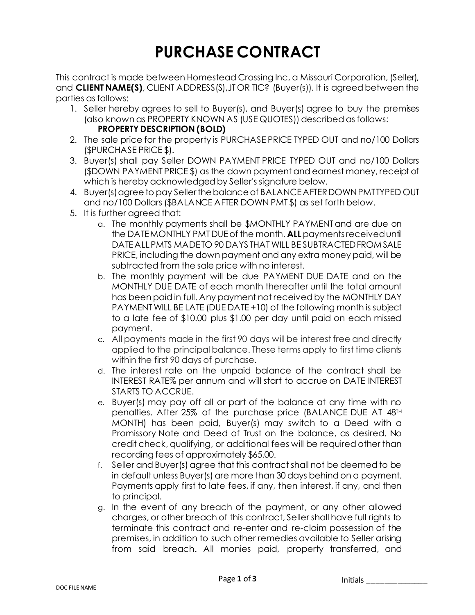## **PURCHASE CONTRACT**

This contract is made between Homestead Crossing Inc, a Missouri Corporation, (Seller), and **CLIENT NAME(S)**, CLIENT ADDRESS(S),JT OR TIC? (Buyer(s)). It is agreed between the parties as follows:

- 1. Seller hereby agrees to sell to Buyer(s), and Buyer(s) agree to buy the premises (also known as PROPERTY KNOWN AS (USE QUOTES)) described as follows: **PROPERTY DESCRIPTION (BOLD)**
- 2. The sale price for the property is PURCHASE PRICE TYPED OUT and no/100 Dollars (\$PURCHASE PRICE \$).
- 3. Buyer(s) shall pay Seller DOWN PAYMENT PRICE TYPED OUT and no/100 Dollars (\$DOWN PAYMENT PRICE \$) as the down payment and earnest money, receipt of which is hereby acknowledged by Seller's signature below.
- 4. Buyer(s) agree to pay Seller the balance of BALANCE AFTER DOWN PMT TYPED OUT and no/100 Dollars (\$BALANCE AFTER DOWN PMT \$) as set forth below.
- 5. It is further agreed that:
	- a. The monthly payments shall be \$MONTHLY PAYMENT and are due on the DATE MONTHLY PMT DUEof the month. **ALL**payments receiveduntil DATE ALL PMTS MADE TO 90 DAYS THAT WILL BE SUBTRACTED FROM SALE PRICE, including the down payment and any extra money paid, will be subtracted from the sale price with no interest.
	- b. The monthly payment will be due PAYMENT DUE DATE and on the MONTHLY DUE DATE of each month thereafter until the total amount has been paid in full. Any payment not received by the MONTHLY DAY PAYMENT WILL BE LATE (DUE DATE +10) of the following month is subject to a late fee of \$10.00 plus \$1.00 per day until paid on each missed payment.
	- c. All payments made in the first 90 days will be interest free and directly applied to the principal balance. These terms apply to first time clients within the first 90 days of purchase.
	- d. The interest rate on the unpaid balance of the contract shall be INTEREST RATE% per annum and will start to accrue on DATE INTEREST STARTS TO ACCRUE.
	- e. Buyer(s) may pay off all or part of the balance at any time with no penalties. After 25% of the purchase price (BALANCE DUE AT 48TH MONTH) has been paid, Buyer(s) may switch to a Deed with a Promissory Note and Deed of Trust on the balance, as desired. No credit check, qualifying, or additional fees will be required other than recording fees of approximately \$65.00.
	- f. Seller and Buyer(s) agree that this contract shall not be deemed to be in default unless Buyer(s) are more than 30 days behind on a payment. Payments apply first to late fees, if any, then interest, if any, and then to principal.
	- g. In the event of any breach of the payment, or any other allowed charges, or other breach of this contract, Seller shall have full rights to terminate this contract and re-enter and re-claim possession of the premises, in addition to such other remedies available to Seller arising from said breach. All monies paid, property transferred, and

Initials \_\_\_\_\_\_\_\_\_\_\_\_\_\_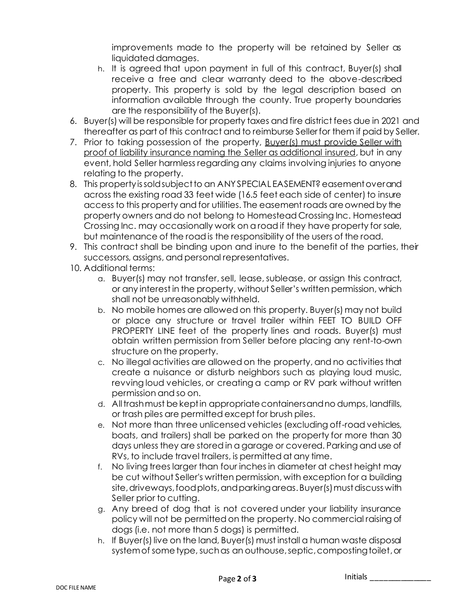improvements made to the property will be retained by Seller as liquidated damages.

- h. It is agreed that upon payment in full of this contract, Buyer(s) shall receive a free and clear warranty deed to the above-described property. This property is sold by the legal description based on information available through the county. True property boundaries are the responsibility of the Buyer(s).
- 6. Buyer(s) will be responsible for property taxes and fire district fees due in 2021 and thereafter as part of this contract and to reimburse Seller for them if paid by Seller.
- 7. Prior to taking possession of the property, Buyer(s) must provide Seller with proof of liability insurance naming the Seller as additional insured, but in any event, hold Seller harmless regarding any claims involving injuries to anyone relating to the property.
- 8. This property is sold subject to an ANY SPECIAL EASEMENT? easement over and across the existing road 33 feet wide (16.5 feet each side of center) to insure access to this property and for utilities. The easement roads are owned by the property owners and do not belong to Homestead Crossing Inc. Homestead Crossing Inc. may occasionally work on a road if they have property for sale, but maintenance of the road is the responsibility of the users of the road.
- 9. This contract shall be binding upon and inure to the benefit of the parties, their successors, assigns, and personal representatives.
- 10. Additional terms:
	- a. Buyer(s) may not transfer, sell, lease, sublease, or assign this contract, or any interest in the property, without Seller's written permission, which shall not be unreasonably withheld.
	- b. No mobile homes are allowed on this property. Buyer(s) may not build or place any structure or travel trailer within FEET TO BUILD OFF PROPERTY LINE feet of the property lines and roads. Buyer(s) must obtain written permission from Seller before placing any rent-to-own structure on the property.
	- c. No illegal activities are allowed on the property, and no activities that create a nuisance or disturb neighbors such as playing loud music, revving loud vehicles, or creating a camp or RV park without written permission and so on.
	- d. All trash must be kept in appropriate containers and no dumps, landfills, or trash piles are permitted except for brush piles.
	- e. Not more than three unlicensed vehicles (excluding off-road vehicles, boats, and trailers) shall be parked on the property for more than 30 days unless they are stored in a garage or covered. Parking and use of RVs, to include travel trailers, is permitted at any time.
	- f. No living trees larger than four inches in diameter at chest height may be cut without Seller's written permission, with exception for a building site, driveways, food plots, and parking areas. Buyer(s) must discuss with Seller prior to cutting.
	- g. Any breed of dog that is not covered under your liability insurance policy will not be permitted on the property. No commercial raising of dogs (i.e. not more than 5 dogs) is permitted.
	- h. If Buyer(s) live on the land, Buyer(s) must install a human waste disposal system of some type, such as an outhouse, septic, composting toilet, or